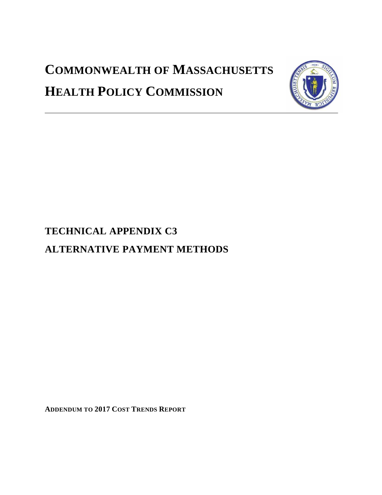# **COMMONWEALTH OF MASSACHUSETTS HEALTH POLICY COMMISSION**



## **TECHNICAL APPENDIX C3 ALTERNATIVE PAYMENT METHODS**

**ADDENDUM TO 2017 COST TRENDS REPORT**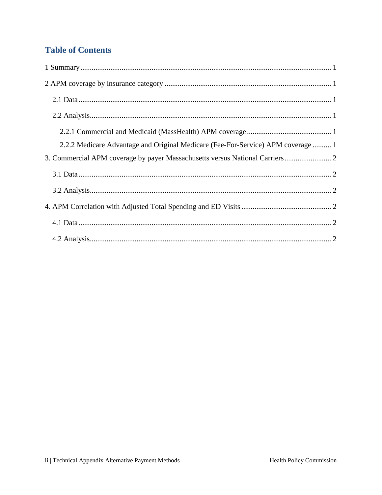## **Table of Contents**

| 2.2.2 Medicare Advantage and Original Medicare (Fee-For-Service) APM coverage  1 |
|----------------------------------------------------------------------------------|
| 3. Commercial APM coverage by payer Massachusetts versus National Carriers 2     |
|                                                                                  |
|                                                                                  |
|                                                                                  |
|                                                                                  |
|                                                                                  |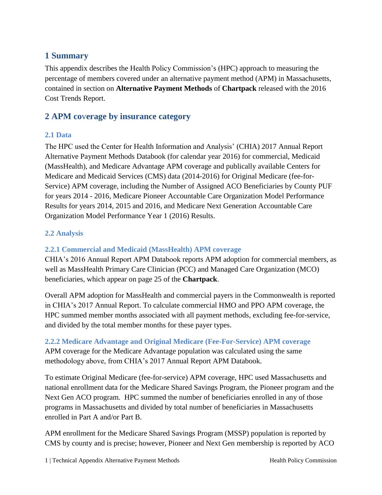#### <span id="page-2-0"></span>**1 Summary**

This appendix describes the Health Policy Commission's (HPC) approach to measuring the percentage of members covered under an alternative payment method (APM) in Massachusetts, contained in section on **Alternative Payment Methods** of **Chartpack** released with the 2016 Cost Trends Report.

### <span id="page-2-1"></span>**2 APM co**v**erage by insurance category**

#### <span id="page-2-2"></span>**2.1 Data**

The HPC used the Center for Health Information and Analysis' (CHIA) 2017 Annual Report Alternative Payment Methods Databook (for calendar year 2016) for commercial, Medicaid (MassHealth), and Medicare Advantage APM coverage and publically available Centers for Medicare and Medicaid Services (CMS) data (2014-2016) for Original Medicare (fee-for-Service) APM coverage, including the Number of Assigned ACO Beneficiaries by County PUF for years 2014 - 2016, Medicare Pioneer Accountable Care Organization Model Performance Results for years 2014, 2015 and 2016, and Medicare Next Generation Accountable Care Organization Model Performance Year 1 (2016) Results.

#### <span id="page-2-3"></span>**2.2 Analysis**

#### <span id="page-2-4"></span>**2.2.1 Commercial and Medicaid (MassHealth) APM coverage**

CHIA's 2016 Annual Report APM Databook reports APM adoption for commercial members, as well as MassHealth Primary Care Clinician (PCC) and Managed Care Organization (MCO) beneficiaries, which appear on page 25 of the **Chartpack**.

Overall APM adoption for MassHealth and commercial payers in the Commonwealth is reported in CHIA's 2017 Annual Report. To calculate commercial HMO and PPO APM coverage, the HPC summed member months associated with all payment methods, excluding fee-for-service, and divided by the total member months for these payer types.

#### <span id="page-2-5"></span>**2.2.2 Medicare Advantage and Original Medicare (Fee-For-Service) APM coverage**

APM coverage for the Medicare Advantage population was calculated using the same methodology above, from CHIA's 2017 Annual Report APM Databook.

To estimate Original Medicare (fee-for-service) APM coverage, HPC used Massachusetts and national enrollment data for the Medicare Shared Savings Program, the Pioneer program and the Next Gen ACO program. HPC summed the number of beneficiaries enrolled in any of those programs in Massachusetts and divided by total number of beneficiaries in Massachusetts enrolled in Part A and/or Part B.

APM enrollment for the Medicare Shared Savings Program (MSSP) population is reported by CMS by county and is precise; however, Pioneer and Next Gen membership is reported by ACO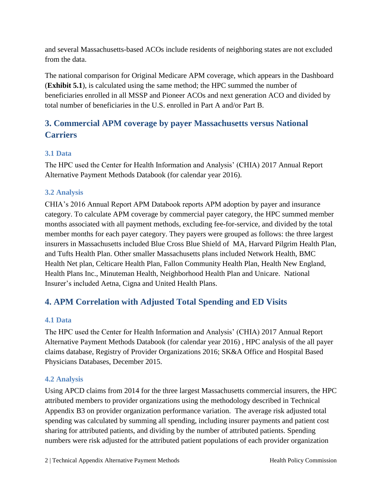and several Massachusetts-based ACOs include residents of neighboring states are not excluded from the data.

The national comparison for Original Medicare APM coverage, which appears in the Dashboard (**Exhibit 5.1**), is calculated using the same method; the HPC summed the number of beneficiaries enrolled in all MSSP and Pioneer ACOs and next generation ACO and divided by total number of beneficiaries in the U.S. enrolled in Part A and/or Part B.

## <span id="page-3-0"></span>**3. Commercial APM coverage by payer Massachusetts versus National Carriers**

#### <span id="page-3-1"></span>**3.1 Data**

The HPC used the Center for Health Information and Analysis' (CHIA) 2017 Annual Report Alternative Payment Methods Databook (for calendar year 2016).

#### <span id="page-3-2"></span>**3.2 Analysis**

CHIA's 2016 Annual Report APM Databook reports APM adoption by payer and insurance category. To calculate APM coverage by commercial payer category, the HPC summed member months associated with all payment methods, excluding fee-for-service, and divided by the total member months for each payer category. They payers were grouped as follows: the three largest insurers in Massachusetts included Blue Cross Blue Shield of MA, Harvard Pilgrim Health Plan, and Tufts Health Plan. Other smaller Massachusetts plans included Network Health, BMC Health Net plan, Celticare Health Plan, Fallon Community Health Plan, Health New England, Health Plans Inc., Minuteman Health, Neighborhood Health Plan and Unicare. National Insurer's included Aetna, Cigna and United Health Plans.

## <span id="page-3-3"></span>**4. APM Correlation with Adjusted Total Spending and ED Visits**

#### <span id="page-3-4"></span>**4.1 Data**

The HPC used the Center for Health Information and Analysis' (CHIA) 2017 Annual Report Alternative Payment Methods Databook (for calendar year 2016) , HPC analysis of the all payer claims database, Registry of Provider Organizations 2016; SK&A Office and Hospital Based Physicians Databases, December 2015.

#### <span id="page-3-5"></span>**4.2 Analysis**

Using APCD claims from 2014 for the three largest Massachusetts commercial insurers, the HPC attributed members to provider organizations using the methodology described in Technical Appendix B3 on provider organization performance variation. The average risk adjusted total spending was calculated by summing all spending, including insurer payments and patient cost sharing for attributed patients, and dividing by the number of attributed patients. Spending numbers were risk adjusted for the attributed patient populations of each provider organization